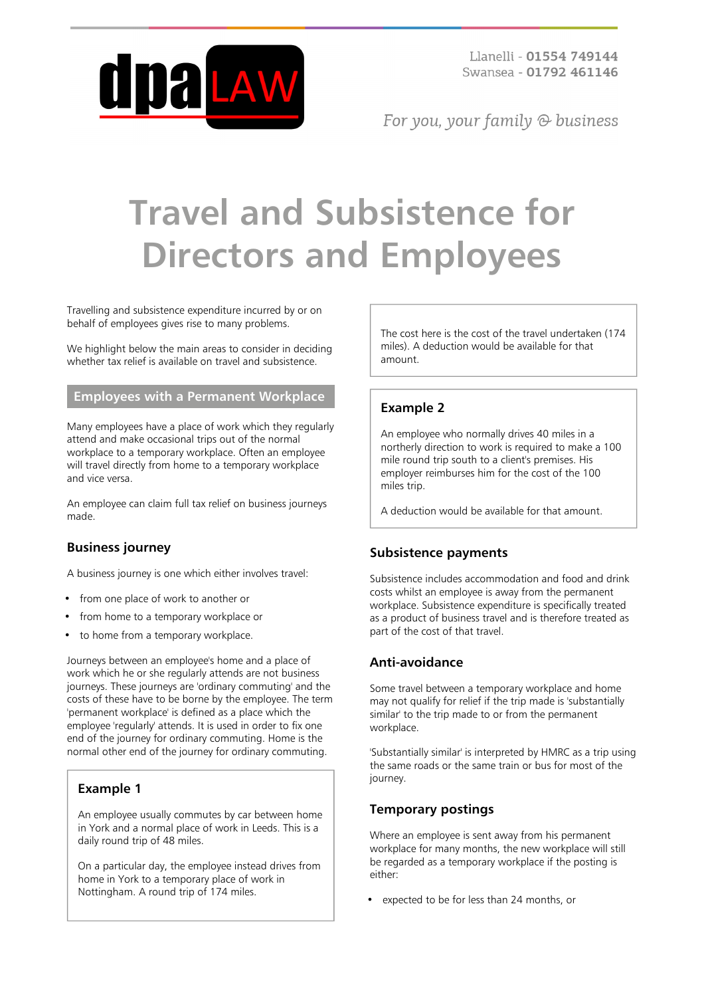

Llanelli - 01554 749144 Swansea - 01792 461146

For you, your family  $\odot$  business

# **Travel and Subsistence for Directors and Employees**

Travelling and subsistence expenditure incurred by or on behalf of employees gives rise to many problems.

We highlight below the main areas to consider in deciding whether tax relief is available on travel and subsistence.

### **Employees with a Permanent Workplace**

Many employees have a place of work which they regularly attend and make occasional trips out of the normal workplace to a temporary workplace. Often an employee will travel directly from home to a temporary workplace and vice versa.

An employee can claim full tax relief on business journeys made.

## **Business journey**

A business journey is one which either involves travel:

- from one place of work to another or
- from home to a temporary workplace or
- to home from a temporary workplace.

Journeys between an employee's home and a place of work which he or she regularly attends are not business journeys. These journeys are 'ordinary commuting' and the costs of these have to be borne by the employee. The term 'permanent workplace' is defined as a place which the employee 'regularly' attends. It is used in order to fix one end of the journey for ordinary commuting. Home is the normal other end of the journey for ordinary commuting.

#### **Example 1**

An employee usually commutes by car between home in York and a normal place of work in Leeds. This is a daily round trip of 48 miles.

On a particular day, the employee instead drives from home in York to a temporary place of work in Nottingham. A round trip of 174 miles.

The cost here is the cost of the travel undertaken (174 miles). A deduction would be available for that amount.

## **Example 2**

An employee who normally drives 40 miles in a northerly direction to work is required to make a 100 mile round trip south to a client's premises. His employer reimburses him for the cost of the 100 miles trip.

A deduction would be available for that amount.

## **Subsistence payments**

Subsistence includes accommodation and food and drink costs whilst an employee is away from the permanent workplace. Subsistence expenditure is specifically treated as a product of business travel and is therefore treated as part of the cost of that travel.

## **Anti-avoidance**

Some travel between a temporary workplace and home may not qualify for relief if the trip made is 'substantially similar' to the trip made to or from the permanent workplace.

'Substantially similar' is interpreted by HMRC as a trip using the same roads or the same train or bus for most of the journey.

## **Temporary postings**

Where an employee is sent away from his permanent workplace for many months, the new workplace will still be regarded as a temporary workplace if the posting is either:

expected to be for less than 24 months, or